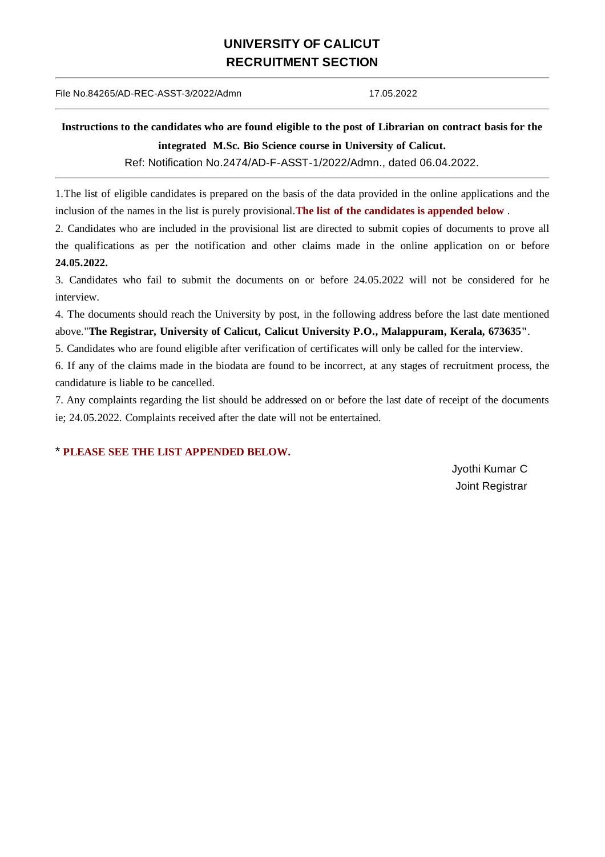## **UNIVERSITY OF CALICUT RECRUITMENT SECTION**

## File No.84265/AD-REC-ASST-3/2022/Admn 17.05.2022

## Instructions to the candidates who are found eligible to the post of Librarian on contract basis for the **integrated M.Sc. Bio Science course in University of Calicut.**

Ref: Notification No.2474/AD-F-ASST-1/2022/Admn., dated 06.04.2022.

1.The list of eligible candidates is prepared on the basis of the data provided in the online applications and the inclusion of the names in the list is purely provisional.**The list of the candidates is appended below** .

2. Candidates who are included in the provisional list are directed to submit copies of documents to prove all the qualifications as per the notification and other claims made in the online application on or before **24.05.2022.**

3. Candidates who fail to submit the documents on or before 24.05.2022 will not be considered for he interview.

4. The documents should reach the University by post, in the following address before the last date mentioned above."**The Registrar, University of Calicut, Calicut University P.O., Malappuram, Kerala, 673635"**.

5. Candidates who are found eligible after verification of certificates will only be called for the interview.

6. If any of the claims made in the biodata are found to be incorrect, at any stages of recruitment process, the candidature is liable to be cancelled.

7. Any complaints regarding the list should be addressed on or before the last date of receipt of the documents ie; 24.05.2022. Complaints received after the date will not be entertained.

## \* **PLEASE SEE THE LIST APPENDED BELOW.**

Jyothi Kumar C Joint Registrar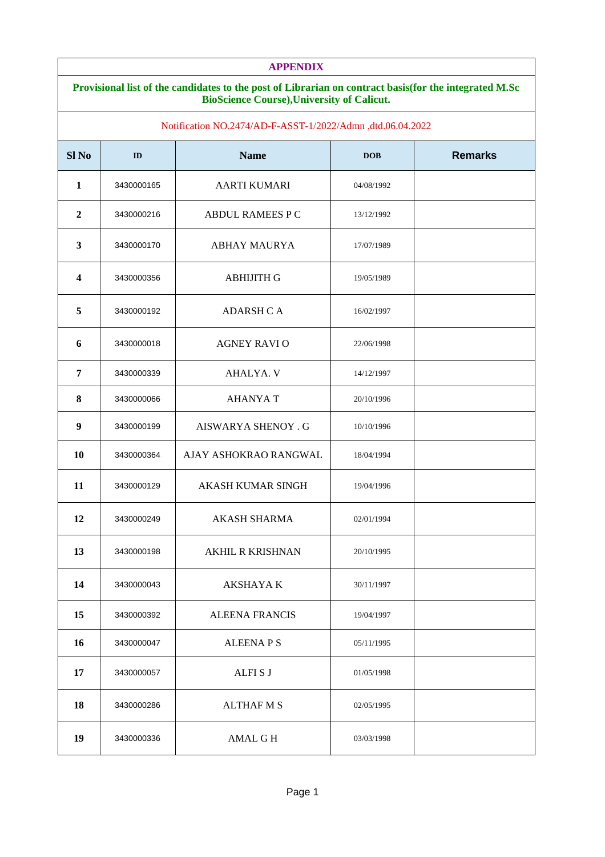| <b>APPENDIX</b>  |                                                                                                       |                                                            |            |                |  |  |
|------------------|-------------------------------------------------------------------------------------------------------|------------------------------------------------------------|------------|----------------|--|--|
|                  | Provisional list of the candidates to the post of Librarian on contract basis(for the integrated M.Sc |                                                            |            |                |  |  |
|                  |                                                                                                       | <b>BioScience Course), University of Calicut.</b>          |            |                |  |  |
|                  |                                                                                                       | Notification NO.2474/AD-F-ASST-1/2022/Admn ,dtd.06.04.2022 |            |                |  |  |
| Sl <sub>No</sub> | ID                                                                                                    | <b>Name</b>                                                | <b>DOB</b> | <b>Remarks</b> |  |  |
| $\mathbf{1}$     | 3430000165                                                                                            | <b>AARTI KUMARI</b>                                        | 04/08/1992 |                |  |  |
| $\overline{2}$   | 3430000216                                                                                            | <b>ABDUL RAMEES P C</b>                                    | 13/12/1992 |                |  |  |
| 3                | 3430000170                                                                                            | <b>ABHAY MAURYA</b>                                        | 17/07/1989 |                |  |  |
| 4                | 3430000356                                                                                            | <b>ABHIJITH G</b>                                          | 19/05/1989 |                |  |  |
| 5                | 3430000192                                                                                            | <b>ADARSH C A</b>                                          | 16/02/1997 |                |  |  |
| $6\phantom{1}$   | 3430000018                                                                                            | <b>AGNEY RAVIO</b>                                         | 22/06/1998 |                |  |  |
| 7                | 3430000339                                                                                            | AHALYA. V                                                  | 14/12/1997 |                |  |  |
| $\pmb{8}$        | 3430000066                                                                                            | <b>AHANYAT</b>                                             | 20/10/1996 |                |  |  |
| $\boldsymbol{9}$ | 3430000199                                                                                            | <b>AISWARYA SHENOY . G</b>                                 | 10/10/1996 |                |  |  |
| 10               | 3430000364                                                                                            | AJAY ASHOKRAO RANGWAL                                      | 18/04/1994 |                |  |  |
| 11               | 3430000129                                                                                            | <b>AKASH KUMAR SINGH</b>                                   | 19/04/1996 |                |  |  |
| 12               | 3430000249                                                                                            | <b>AKASH SHARMA</b>                                        | 02/01/1994 |                |  |  |
| 13               | 3430000198                                                                                            | <b>AKHIL R KRISHNAN</b>                                    | 20/10/1995 |                |  |  |
| 14               | 3430000043                                                                                            | <b>AKSHAYA K</b>                                           | 30/11/1997 |                |  |  |
| 15               | 3430000392                                                                                            | <b>ALEENA FRANCIS</b>                                      | 19/04/1997 |                |  |  |
| 16               | 3430000047                                                                                            | <b>ALEENAPS</b>                                            | 05/11/1995 |                |  |  |
| 17               | 3430000057                                                                                            | <b>ALFISJ</b>                                              | 01/05/1998 |                |  |  |
| 18               | 3430000286                                                                                            | <b>ALTHAF M S</b>                                          | 02/05/1995 |                |  |  |
| 19               | 3430000336                                                                                            | AMAL G H                                                   | 03/03/1998 |                |  |  |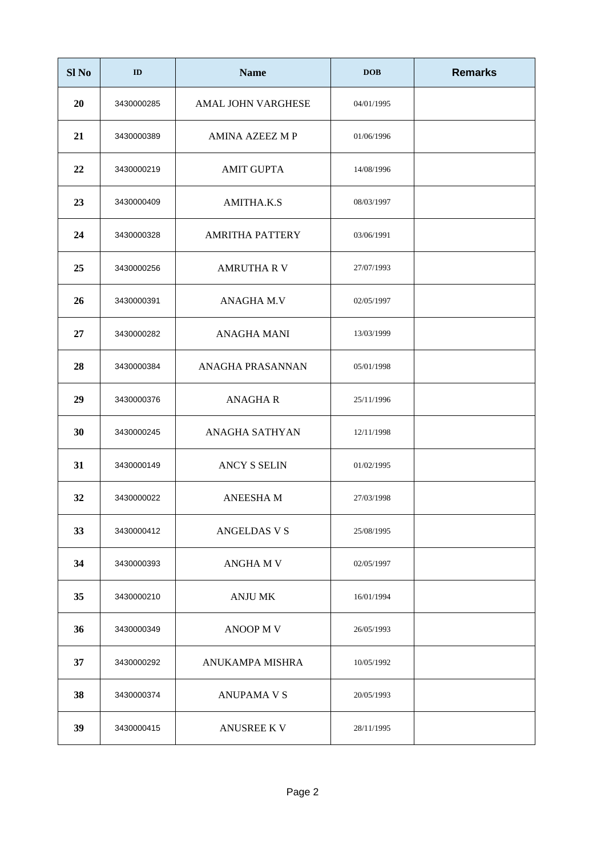| Sl <sub>No</sub> | ID         | <b>Name</b>               | <b>DOB</b> | <b>Remarks</b> |
|------------------|------------|---------------------------|------------|----------------|
| 20               | 3430000285 | <b>AMAL JOHN VARGHESE</b> | 04/01/1995 |                |
| 21               | 3430000389 | <b>AMINA AZEEZ MP</b>     | 01/06/1996 |                |
| 22               | 3430000219 | <b>AMIT GUPTA</b>         | 14/08/1996 |                |
| 23               | 3430000409 | AMITHA.K.S                | 08/03/1997 |                |
| 24               | 3430000328 | <b>AMRITHA PATTERY</b>    | 03/06/1991 |                |
| 25               | 3430000256 | <b>AMRUTHA R V</b>        | 27/07/1993 |                |
| 26               | 3430000391 | <b>ANAGHA M.V</b>         | 02/05/1997 |                |
| 27               | 3430000282 | <b>ANAGHA MANI</b>        | 13/03/1999 |                |
| 28               | 3430000384 | ANAGHA PRASANNAN          | 05/01/1998 |                |
| 29               | 3430000376 | <b>ANAGHAR</b>            | 25/11/1996 |                |
| 30               | 3430000245 | <b>ANAGHA SATHYAN</b>     | 12/11/1998 |                |
| 31               | 3430000149 | <b>ANCY S SELIN</b>       | 01/02/1995 |                |
| 32               | 3430000022 | <b>ANEESHAM</b>           | 27/03/1998 |                |
| 33               | 3430000412 | <b>ANGELDAS V S</b>       | 25/08/1995 |                |
| 34               | 3430000393 | <b>ANGHAMV</b>            | 02/05/1997 |                |
| 35               | 3430000210 | <b>ANJU MK</b>            | 16/01/1994 |                |
| 36               | 3430000349 | <b>ANOOP MV</b>           | 26/05/1993 |                |
| 37               | 3430000292 | ANUKAMPA MISHRA           | 10/05/1992 |                |
| 38               | 3430000374 | <b>ANUPAMA V S</b>        | 20/05/1993 |                |
| 39               | 3430000415 | <b>ANUSREE KV</b>         | 28/11/1995 |                |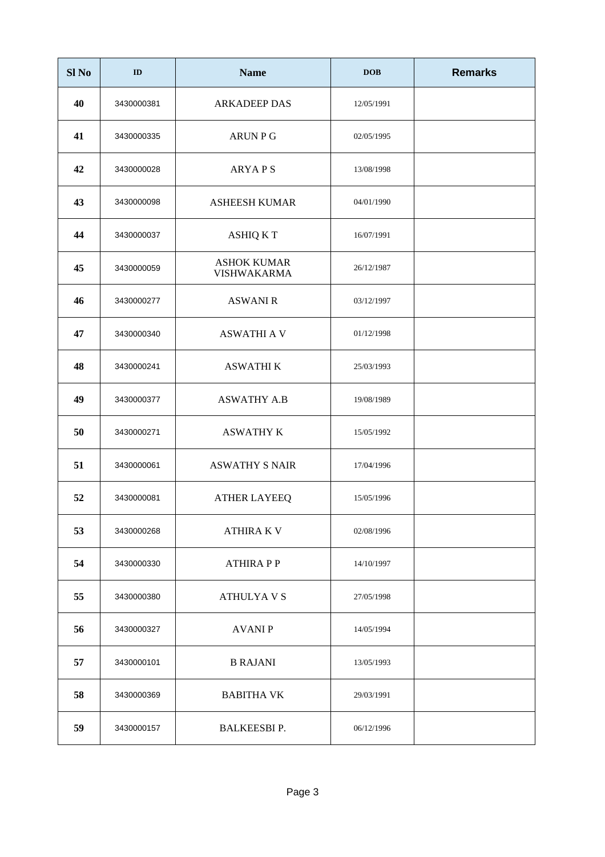| Sl <sub>No</sub> | ID         | <b>Name</b>                              | <b>DOB</b> | <b>Remarks</b> |
|------------------|------------|------------------------------------------|------------|----------------|
| 40               | 3430000381 | <b>ARKADEEP DAS</b>                      | 12/05/1991 |                |
| 41               | 3430000335 | <b>ARUN P G</b>                          | 02/05/1995 |                |
| 42               | 3430000028 | <b>ARYAPS</b>                            | 13/08/1998 |                |
| 43               | 3430000098 | <b>ASHEESH KUMAR</b>                     | 04/01/1990 |                |
| 44               | 3430000037 | <b>ASHIQ K T</b>                         | 16/07/1991 |                |
| 45               | 3430000059 | <b>ASHOK KUMAR</b><br><b>VISHWAKARMA</b> | 26/12/1987 |                |
| 46               | 3430000277 | <b>ASWANI R</b>                          | 03/12/1997 |                |
| 47               | 3430000340 | <b>ASWATHI A V</b>                       | 01/12/1998 |                |
| 48               | 3430000241 | <b>ASWATHI K</b>                         | 25/03/1993 |                |
| 49               | 3430000377 | <b>ASWATHY A.B</b>                       | 19/08/1989 |                |
| 50               | 3430000271 | <b>ASWATHY K</b>                         | 15/05/1992 |                |
| 51               | 3430000061 | <b>ASWATHY S NAIR</b>                    | 17/04/1996 |                |
| 52               | 3430000081 | <b>ATHER LAYEEQ</b>                      | 15/05/1996 |                |
| 53               | 3430000268 | <b>ATHIRA K V</b>                        | 02/08/1996 |                |
| 54               | 3430000330 | <b>ATHIRAPP</b>                          | 14/10/1997 |                |
| 55               | 3430000380 | <b>ATHULYAVS</b>                         | 27/05/1998 |                |
| 56               | 3430000327 | <b>AVANIP</b>                            | 14/05/1994 |                |
| 57               | 3430000101 | <b>B RAJANI</b>                          | 13/05/1993 |                |
| 58               | 3430000369 | <b>BABITHA VK</b>                        | 29/03/1991 |                |
| 59               | 3430000157 | <b>BALKEESBIP.</b>                       | 06/12/1996 |                |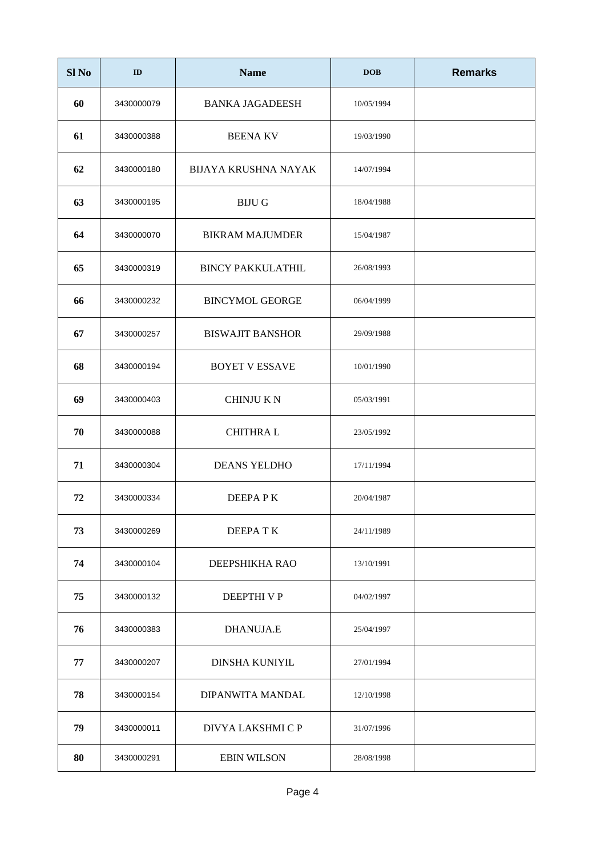| Sl <sub>No</sub> | ID         | <b>Name</b>                 | <b>DOB</b> | <b>Remarks</b> |
|------------------|------------|-----------------------------|------------|----------------|
| 60               | 3430000079 | <b>BANKA JAGADEESH</b>      | 10/05/1994 |                |
| 61               | 3430000388 | <b>BEENA KV</b>             | 19/03/1990 |                |
| 62               | 3430000180 | <b>BIJAYA KRUSHNA NAYAK</b> | 14/07/1994 |                |
| 63               | 3430000195 | <b>BIJU G</b>               | 18/04/1988 |                |
| 64               | 3430000070 | <b>BIKRAM MAJUMDER</b>      | 15/04/1987 |                |
| 65               | 3430000319 | <b>BINCY PAKKULATHIL</b>    | 26/08/1993 |                |
| 66               | 3430000232 | <b>BINCYMOL GEORGE</b>      | 06/04/1999 |                |
| 67               | 3430000257 | <b>BISWAJIT BANSHOR</b>     | 29/09/1988 |                |
| 68               | 3430000194 | <b>BOYET V ESSAVE</b>       | 10/01/1990 |                |
| 69               | 3430000403 | <b>CHINJUKN</b>             | 05/03/1991 |                |
| 70               | 3430000088 | <b>CHITHRAL</b>             | 23/05/1992 |                |
| 71               | 3430000304 | <b>DEANS YELDHO</b>         | 17/11/1994 |                |
| 72               | 3430000334 | DEEPAPK                     | 20/04/1987 |                |
| 73               | 3430000269 | DEEPATK                     | 24/11/1989 |                |
| 74               | 3430000104 | DEEPSHIKHA RAO              | 13/10/1991 |                |
| 75               | 3430000132 | DEEPTHI V P                 | 04/02/1997 |                |
| 76               | 3430000383 | <b>DHANUJA.E</b>            | 25/04/1997 |                |
| 77               | 3430000207 | <b>DINSHA KUNIYIL</b>       | 27/01/1994 |                |
| 78               | 3430000154 | DIPANWITA MANDAL            | 12/10/1998 |                |
| 79               | 3430000011 | DIVYA LAKSHMI C P           | 31/07/1996 |                |
| 80               | 3430000291 | <b>EBIN WILSON</b>          | 28/08/1998 |                |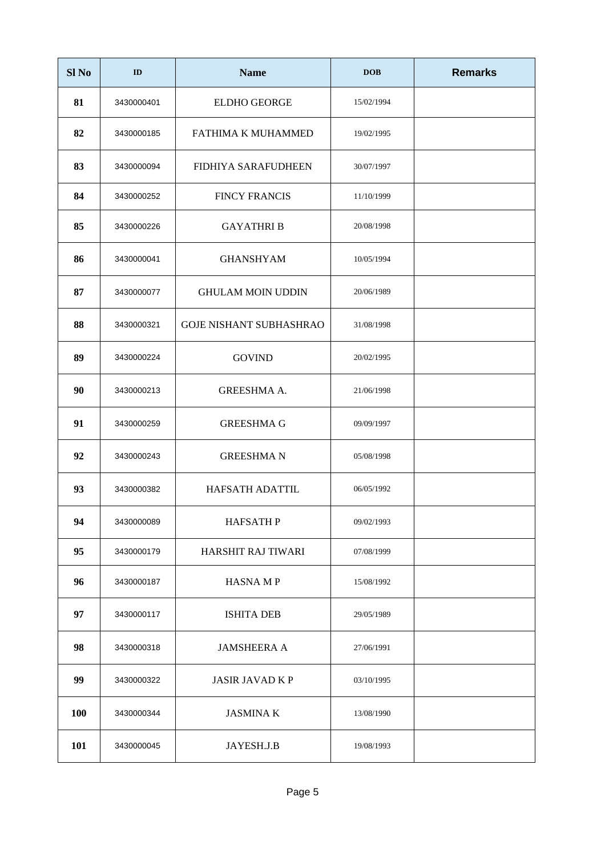| Sl <sub>No</sub> | ID         | <b>Name</b>                    | <b>DOB</b> | <b>Remarks</b> |
|------------------|------------|--------------------------------|------------|----------------|
| 81               | 3430000401 | <b>ELDHO GEORGE</b>            | 15/02/1994 |                |
| 82               | 3430000185 | FATHIMA K MUHAMMED             | 19/02/1995 |                |
| 83               | 3430000094 | <b>FIDHIYA SARAFUDHEEN</b>     | 30/07/1997 |                |
| 84               | 3430000252 | <b>FINCY FRANCIS</b>           | 11/10/1999 |                |
| 85               | 3430000226 | <b>GAYATHRIB</b>               | 20/08/1998 |                |
| 86               | 3430000041 | <b>GHANSHYAM</b>               | 10/05/1994 |                |
| 87               | 3430000077 | <b>GHULAM MOIN UDDIN</b>       | 20/06/1989 |                |
| 88               | 3430000321 | <b>GOJE NISHANT SUBHASHRAO</b> | 31/08/1998 |                |
| 89               | 3430000224 | <b>GOVIND</b>                  | 20/02/1995 |                |
| 90               | 3430000213 | <b>GREESHMA A.</b>             | 21/06/1998 |                |
| 91               | 3430000259 | <b>GREESHMA G</b>              | 09/09/1997 |                |
| 92               | 3430000243 | <b>GREESHMAN</b>               | 05/08/1998 |                |
| 93               | 3430000382 | <b>HAFSATH ADATTIL</b>         | 06/05/1992 |                |
| 94               | 3430000089 | <b>HAFSATHP</b>                | 09/02/1993 |                |
| 95               | 3430000179 | HARSHIT RAJ TIWARI             | 07/08/1999 |                |
| 96               | 3430000187 | <b>HASNAMP</b>                 | 15/08/1992 |                |
| 97               | 3430000117 | <b>ISHITA DEB</b>              | 29/05/1989 |                |
| 98               | 3430000318 | <b>JAMSHEERA A</b>             | 27/06/1991 |                |
| 99               | 3430000322 | <b>JASIR JAVAD K P</b>         | 03/10/1995 |                |
| 100              | 3430000344 | <b>JASMINAK</b>                | 13/08/1990 |                |
| 101              | 3430000045 | JAYESH.J.B                     | 19/08/1993 |                |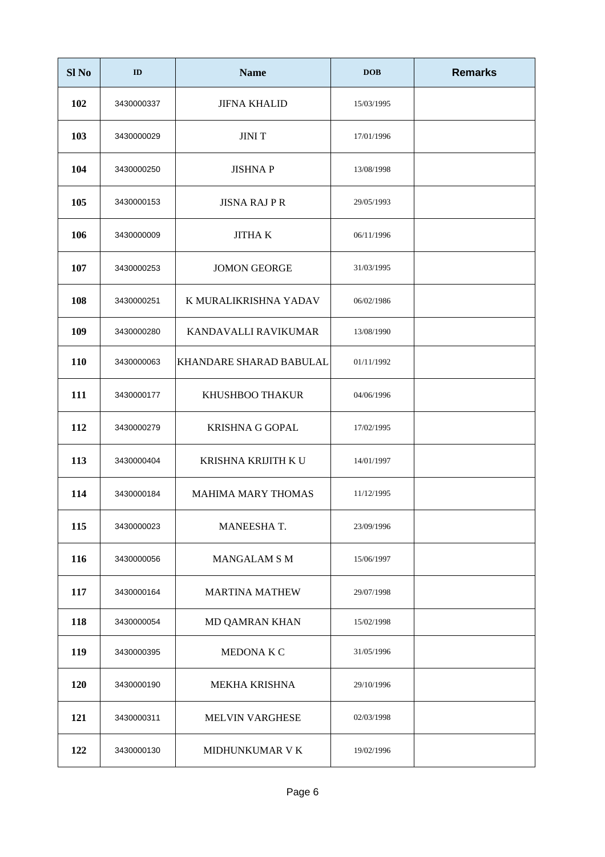| Sl <sub>No</sub> | ID         | <b>Name</b>             | <b>DOB</b> | <b>Remarks</b> |
|------------------|------------|-------------------------|------------|----------------|
| 102              | 3430000337 | <b>JIFNA KHALID</b>     | 15/03/1995 |                |
| 103              | 3430000029 | <b>JINIT</b>            | 17/01/1996 |                |
| 104              | 3430000250 | <b>JISHNAP</b>          | 13/08/1998 |                |
| 105              | 3430000153 | <b>JISNA RAJ P R</b>    | 29/05/1993 |                |
| 106              | 3430000009 | <b>JITHA K</b>          | 06/11/1996 |                |
| 107              | 3430000253 | <b>JOMON GEORGE</b>     | 31/03/1995 |                |
| 108              | 3430000251 | K MURALIKRISHNA YADAV   | 06/02/1986 |                |
| 109              | 3430000280 | KANDAVALLI RAVIKUMAR    | 13/08/1990 |                |
| 110              | 3430000063 | KHANDARE SHARAD BABULAL | 01/11/1992 |                |
| 111              | 3430000177 | KHUSHBOO THAKUR         | 04/06/1996 |                |
| 112              | 3430000279 | <b>KRISHNA G GOPAL</b>  | 17/02/1995 |                |
| 113              | 3430000404 | KRISHNA KRIJITH K U     | 14/01/1997 |                |
| 114              | 3430000184 | MAHIMA MARY THOMAS      | 11/12/1995 |                |
| 115              | 3430000023 | MANEESHA T.             | 23/09/1996 |                |
| 116              | 3430000056 | <b>MANGALAM S M</b>     | 15/06/1997 |                |
| 117              | 3430000164 | <b>MARTINA MATHEW</b>   | 29/07/1998 |                |
| 118              | 3430000054 | MD QAMRAN KHAN          | 15/02/1998 |                |
| 119              | 3430000395 | MEDONA K C              | 31/05/1996 |                |
| 120              | 3430000190 | MEKHA KRISHNA           | 29/10/1996 |                |
| 121              | 3430000311 | MELVIN VARGHESE         | 02/03/1998 |                |
| 122              | 3430000130 | MIDHUNKUMAR V K         | 19/02/1996 |                |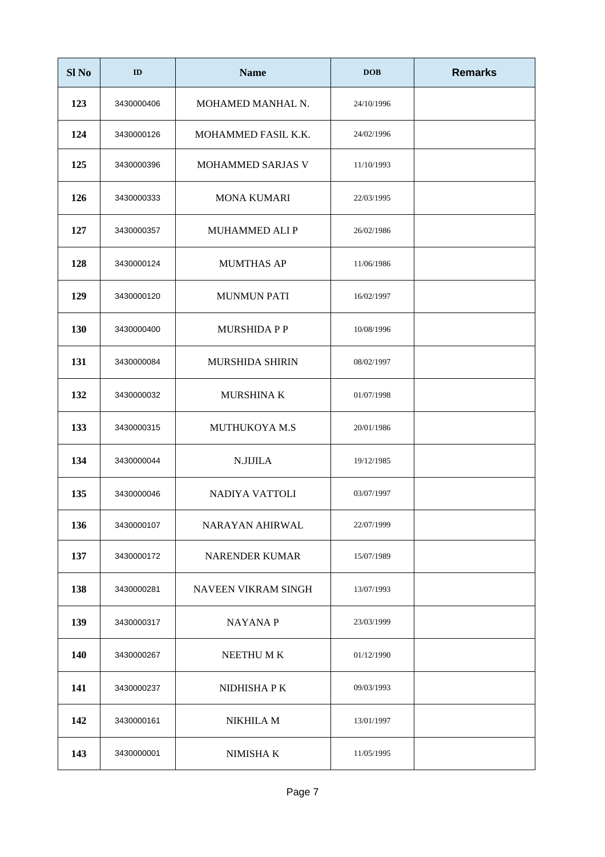| Sl <sub>No</sub> | ID         | <b>Name</b>                | <b>DOB</b> | <b>Remarks</b> |
|------------------|------------|----------------------------|------------|----------------|
| 123              | 3430000406 | MOHAMED MANHAL N.          | 24/10/1996 |                |
| 124              | 3430000126 | MOHAMMED FASIL K.K.        | 24/02/1996 |                |
| 125              | 3430000396 | MOHAMMED SARJAS V          | 11/10/1993 |                |
| 126              | 3430000333 | <b>MONA KUMARI</b>         | 22/03/1995 |                |
| 127              | 3430000357 | <b>MUHAMMED ALIP</b>       | 26/02/1986 |                |
| 128              | 3430000124 | <b>MUMTHAS AP</b>          | 11/06/1986 |                |
| 129              | 3430000120 | <b>MUNMUN PATI</b>         | 16/02/1997 |                |
| 130              | 3430000400 | <b>MURSHIDA P P</b>        | 10/08/1996 |                |
| 131              | 3430000084 | <b>MURSHIDA SHIRIN</b>     | 08/02/1997 |                |
| 132              | 3430000032 | MURSHINA K                 | 01/07/1998 |                |
| 133              | 3430000315 | MUTHUKOYA M.S              | 20/01/1986 |                |
| 134              | 3430000044 | N.JIJILA                   | 19/12/1985 |                |
| 135              | 3430000046 | NADIYA VATTOLI             | 03/07/1997 |                |
| 136              | 3430000107 | <b>NARAYAN AHIRWAL</b>     | 22/07/1999 |                |
| 137              | 3430000172 | <b>NARENDER KUMAR</b>      | 15/07/1989 |                |
| 138              | 3430000281 | <b>NAVEEN VIKRAM SINGH</b> | 13/07/1993 |                |
| 139              | 3430000317 | <b>NAYANAP</b>             | 23/03/1999 |                |
| 140              | 3430000267 | NEETHU MK                  | 01/12/1990 |                |
| 141              | 3430000237 | NIDHISHA P K               | 09/03/1993 |                |
| 142              | 3430000161 | NIKHILA M                  | 13/01/1997 |                |
| 143              | 3430000001 | NIMISHA K                  | 11/05/1995 |                |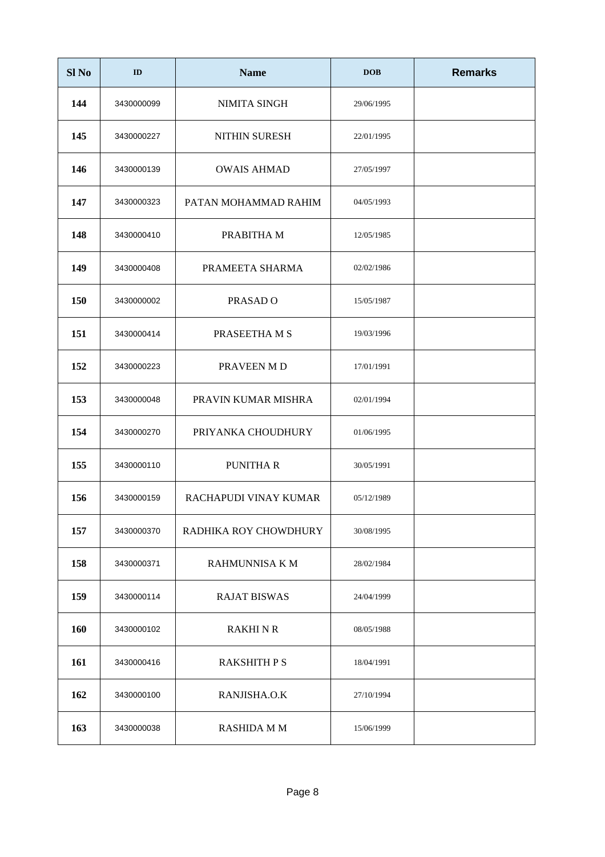| Sl <sub>No</sub> | ID         | <b>Name</b>           | <b>DOB</b> | <b>Remarks</b> |
|------------------|------------|-----------------------|------------|----------------|
| 144              | 3430000099 | NIMITA SINGH          | 29/06/1995 |                |
| 145              | 3430000227 | <b>NITHIN SURESH</b>  | 22/01/1995 |                |
| 146              | 3430000139 | <b>OWAIS AHMAD</b>    | 27/05/1997 |                |
| 147              | 3430000323 | PATAN MOHAMMAD RAHIM  | 04/05/1993 |                |
| 148              | 3430000410 | PRABITHA M            | 12/05/1985 |                |
| 149              | 3430000408 | PRAMEETA SHARMA       | 02/02/1986 |                |
| 150              | 3430000002 | PRASAD <sub>O</sub>   | 15/05/1987 |                |
| 151              | 3430000414 | PRASEETHA M S         | 19/03/1996 |                |
| 152              | 3430000223 | PRAVEEN M D           | 17/01/1991 |                |
| 153              | 3430000048 | PRAVIN KUMAR MISHRA   | 02/01/1994 |                |
| 154              | 3430000270 | PRIYANKA CHOUDHURY    | 01/06/1995 |                |
| 155              | 3430000110 | <b>PUNITHAR</b>       | 30/05/1991 |                |
| 156              | 3430000159 | RACHAPUDI VINAY KUMAR | 05/12/1989 |                |
| 157              | 3430000370 | RADHIKA ROY CHOWDHURY | 30/08/1995 |                |
| 158              | 3430000371 | RAHMUNNISA K M        | 28/02/1984 |                |
| 159              | 3430000114 | <b>RAJAT BISWAS</b>   | 24/04/1999 |                |
| 160              | 3430000102 | <b>RAKHI N R</b>      | 08/05/1988 |                |
| 161              | 3430000416 | <b>RAKSHITH P S</b>   | 18/04/1991 |                |
| 162              | 3430000100 | RANJISHA.O.K          | 27/10/1994 |                |
| 163              | 3430000038 | RASHIDA M M           | 15/06/1999 |                |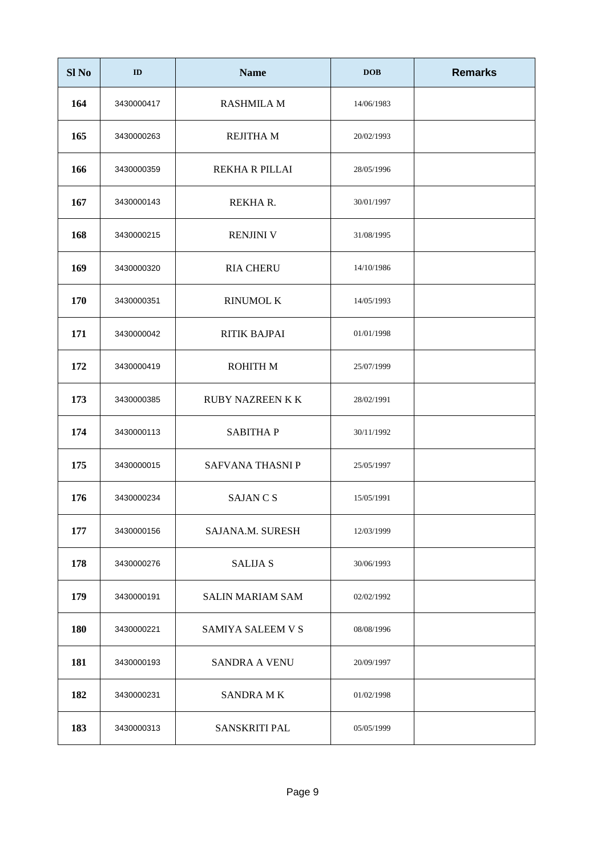| Sl <sub>No</sub> | ID         | <b>Name</b>             | <b>DOB</b> | <b>Remarks</b> |
|------------------|------------|-------------------------|------------|----------------|
| 164              | 3430000417 | <b>RASHMILA M</b>       | 14/06/1983 |                |
| 165              | 3430000263 | <b>REJITHA M</b>        | 20/02/1993 |                |
| 166              | 3430000359 | REKHA R PILLAI          | 28/05/1996 |                |
| 167              | 3430000143 | REKHA R.                | 30/01/1997 |                |
| 168              | 3430000215 | <b>RENJINI V</b>        | 31/08/1995 |                |
| 169              | 3430000320 | <b>RIA CHERU</b>        | 14/10/1986 |                |
| 170              | 3430000351 | <b>RINUMOL K</b>        | 14/05/1993 |                |
| 171              | 3430000042 | RITIK BAJPAI            | 01/01/1998 |                |
| 172              | 3430000419 | ROHITH M                | 25/07/1999 |                |
| 173              | 3430000385 | <b>RUBY NAZREEN K K</b> | 28/02/1991 |                |
| 174              | 3430000113 | <b>SABITHAP</b>         | 30/11/1992 |                |
| 175              | 3430000015 | SAFVANA THASNI P        | 25/05/1997 |                |
| 176              | 3430000234 | <b>SAJAN C S</b>        | 15/05/1991 |                |
| 177              | 3430000156 | SAJANA.M. SURESH        | 12/03/1999 |                |
| 178              | 3430000276 | <b>SALIJA S</b>         | 30/06/1993 |                |
| 179              | 3430000191 | <b>SALIN MARIAM SAM</b> | 02/02/1992 |                |
| 180              | 3430000221 | SAMIYA SALEEM V S       | 08/08/1996 |                |
| 181              | 3430000193 | <b>SANDRA A VENU</b>    | 20/09/1997 |                |
| 182              | 3430000231 | <b>SANDRA MK</b>        | 01/02/1998 |                |
| 183              | 3430000313 | <b>SANSKRITI PAL</b>    | 05/05/1999 |                |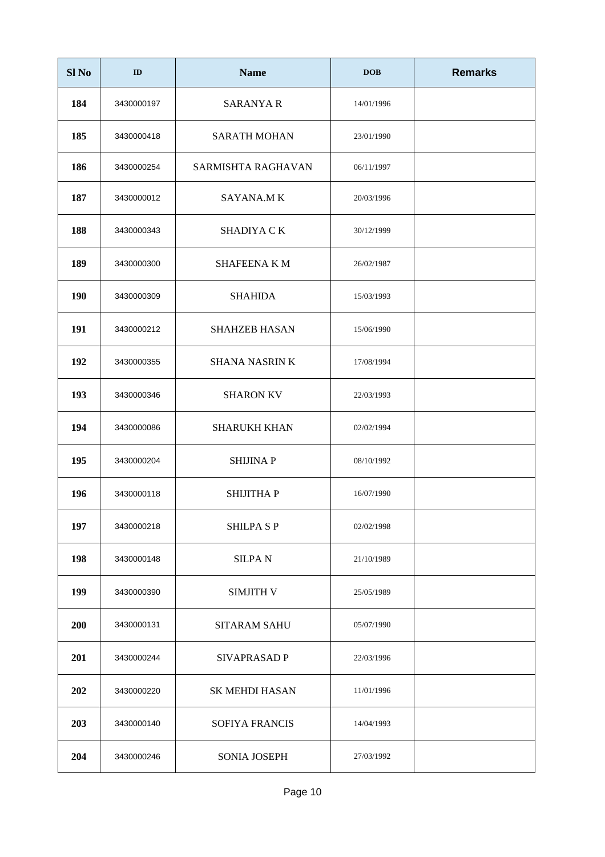| Sl <sub>No</sub> | ID         | <b>Name</b>           | <b>DOB</b> | <b>Remarks</b> |
|------------------|------------|-----------------------|------------|----------------|
| 184              | 3430000197 | <b>SARANYA R</b>      | 14/01/1996 |                |
| 185              | 3430000418 | <b>SARATH MOHAN</b>   | 23/01/1990 |                |
| 186              | 3430000254 | SARMISHTA RAGHAVAN    | 06/11/1997 |                |
| 187              | 3430000012 | <b>SAYANA.MK</b>      | 20/03/1996 |                |
| 188              | 3430000343 | SHADIYA CK            | 30/12/1999 |                |
| 189              | 3430000300 | <b>SHAFEENA K M</b>   | 26/02/1987 |                |
| 190              | 3430000309 | <b>SHAHIDA</b>        | 15/03/1993 |                |
| 191              | 3430000212 | <b>SHAHZEB HASAN</b>  | 15/06/1990 |                |
| 192              | 3430000355 | <b>SHANA NASRIN K</b> | 17/08/1994 |                |
| 193              | 3430000346 | <b>SHARON KV</b>      | 22/03/1993 |                |
| 194              | 3430000086 | <b>SHARUKH KHAN</b>   | 02/02/1994 |                |
| 195              | 3430000204 | <b>SHIJINAP</b>       | 08/10/1992 |                |
| 196              | 3430000118 | SHIJITHA P            | 16/07/1990 |                |
| 197              | 3430000218 | <b>SHILPA SP</b>      | 02/02/1998 |                |
| 198              | 3430000148 | <b>SILPAN</b>         | 21/10/1989 |                |
| 199              | 3430000390 | <b>SIMJITH V</b>      | 25/05/1989 |                |
| 200              | 3430000131 | <b>SITARAM SAHU</b>   | 05/07/1990 |                |
| 201              | 3430000244 | SIVAPRASAD P          | 22/03/1996 |                |
| 202              | 3430000220 | <b>SK MEHDI HASAN</b> | 11/01/1996 |                |
| 203              | 3430000140 | <b>SOFIYA FRANCIS</b> | 14/04/1993 |                |
| 204              | 3430000246 | SONIA JOSEPH          | 27/03/1992 |                |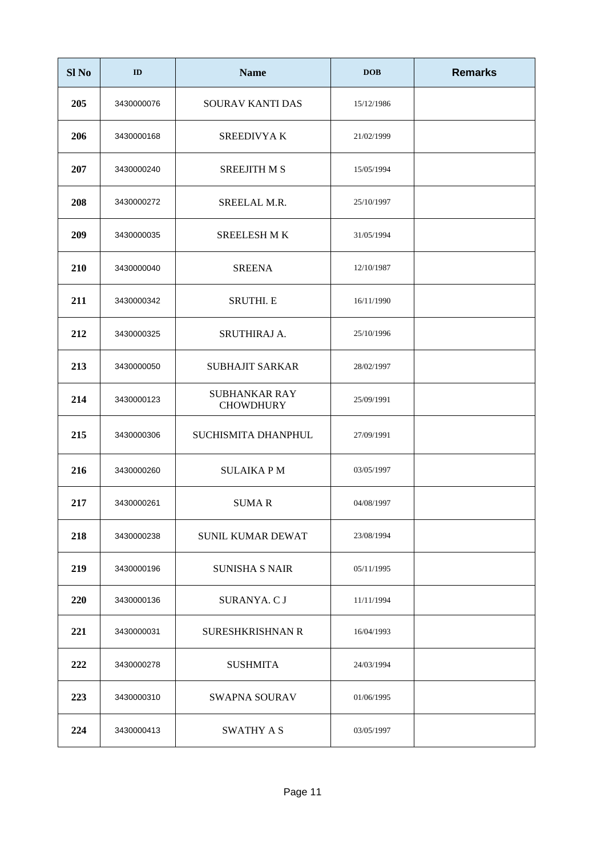| Sl <sub>No</sub> | ID         | <b>Name</b>                              | <b>DOB</b> | <b>Remarks</b> |
|------------------|------------|------------------------------------------|------------|----------------|
| 205              | 3430000076 | SOURAV KANTI DAS                         | 15/12/1986 |                |
| 206              | 3430000168 | <b>SREEDIVYAK</b>                        | 21/02/1999 |                |
| 207              | 3430000240 | <b>SREEJITH M S</b>                      | 15/05/1994 |                |
| 208              | 3430000272 | SREELAL M.R.                             | 25/10/1997 |                |
| 209              | 3430000035 | <b>SREELESH MK</b>                       | 31/05/1994 |                |
| 210              | 3430000040 | <b>SREENA</b>                            | 12/10/1987 |                |
| 211              | 3430000342 | <b>SRUTHI. E</b>                         | 16/11/1990 |                |
| 212              | 3430000325 | SRUTHIRAJ A.                             | 25/10/1996 |                |
| 213              | 3430000050 | <b>SUBHAJIT SARKAR</b>                   | 28/02/1997 |                |
| 214              | 3430000123 | <b>SUBHANKAR RAY</b><br><b>CHOWDHURY</b> | 25/09/1991 |                |
| 215              | 3430000306 | SUCHISMITA DHANPHUL                      | 27/09/1991 |                |
| 216              | 3430000260 | <b>SULAIKAPM</b>                         | 03/05/1997 |                |
| 217              | 3430000261 | <b>SUMAR</b>                             | 04/08/1997 |                |
| 218              | 3430000238 | <b>SUNIL KUMAR DEWAT</b>                 | 23/08/1994 |                |
| 219              | 3430000196 | <b>SUNISHA S NAIR</b>                    | 05/11/1995 |                |
| 220              | 3430000136 | SURANYA. C J                             | 11/11/1994 |                |
| 221              | 3430000031 | <b>SURESHKRISHNAN R</b>                  | 16/04/1993 |                |
| 222              | 3430000278 | <b>SUSHMITA</b>                          | 24/03/1994 |                |
| 223              | 3430000310 | <b>SWAPNA SOURAV</b>                     | 01/06/1995 |                |
| 224              | 3430000413 | SWATHY A S                               | 03/05/1997 |                |